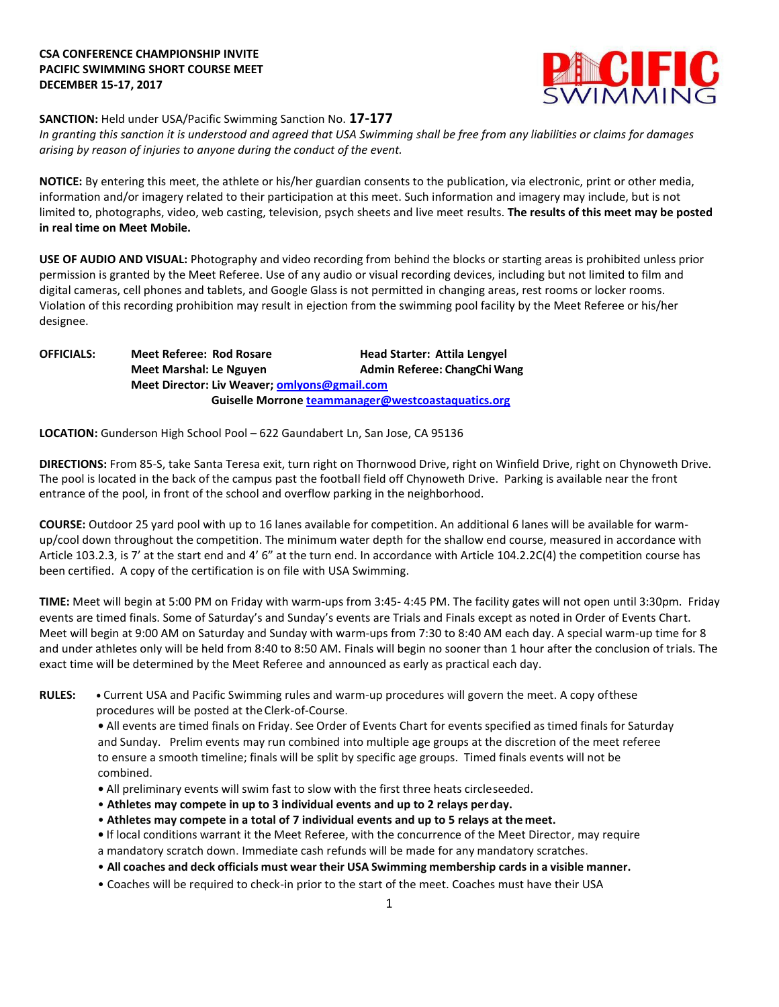# **CSA CONFERENCE CHAMPIONSHIP INVITE PACIFIC SWIMMING SHORT COURSE MEET DECEMBER 15-17, 2017**



#### **SANCTION:** Held under USA/Pacific Swimming Sanction No. **17-177**

*In granting this sanction it is understood and agreed that USA Swimming shall be free from any liabilities or claims for damages arising by reason of injuries to anyone during the conduct of the event.*

**NOTICE:** By entering this meet, the athlete or his/her guardian consents to the publication, via electronic, print or other media, information and/or imagery related to their participation at this meet. Such information and imagery may include, but is not limited to, photographs, video, web casting, television, psych sheets and live meet results. **The results of this meet may be posted in real time on Meet Mobile.**

**USE OF AUDIO AND VISUAL:** Photography and video recording from behind the blocks or starting areas is prohibited unless prior permission is granted by the Meet Referee. Use of any audio or visual recording devices, including but not limited to film and digital cameras, cell phones and tablets, and Google Glass is not permitted in changing areas, rest rooms or locker rooms. Violation of this recording prohibition may result in ejection from the swimming pool facility by the Meet Referee or his/her designee.

**OFFICIALS: Meet Referee: Rod Rosare Head Starter: Attila Lengyel Meet Marshal: Le Nguyen Admin Referee: ChangChi Wang Meet Director: Liv Weaver; omlyons@gmail.com Guiselle Morrone [teammanager@westcoastaquatics.org](mailto:teammanager@westcoastaquatics.org)**

**LOCATION:** Gunderson High School Pool – 622 Gaundabert Ln, San Jose, CA 95136

**DIRECTIONS:** From 85-S, take Santa Teresa exit, turn right on Thornwood Drive, right on Winfield Drive, right on Chynoweth Drive. The pool is located in the back of the campus past the football field off Chynoweth Drive. Parking is available near the front entrance of the pool, in front of the school and overflow parking in the neighborhood.

**COURSE:** Outdoor 25 yard pool with up to 16 lanes available for competition. An additional 6 lanes will be available for warmup/cool down throughout the competition. The minimum water depth for the shallow end course, measured in accordance with Article 103.2.3, is 7' at the start end and 4' 6" at the turn end. In accordance with Article 104.2.2C(4) the competition course has been certified. A copy of the certification is on file with USA Swimming.

**TIME:** Meet will begin at 5:00 PM on Friday with warm-ups from 3:45- 4:45 PM. The facility gates will not open until 3:30pm. Friday events are timed finals. Some of Saturday's and Sunday's events are Trials and Finals except as noted in Order of Events Chart. Meet will begin at 9:00 AM on Saturday and Sunday with warm-ups from 7:30 to 8:40 AM each day. A special warm-up time for 8 and under athletes only will be held from 8:40 to 8:50 AM. Finals will begin no sooner than 1 hour after the conclusion of trials. The exact time will be determined by the Meet Referee and announced as early as practical each day.

**RULES: •** Current USA and Pacific Swimming rules and warm-up procedures will govern the meet. A copy ofthese procedures will be posted at theClerk-of-Course.

**•** All events are timed finals on Friday. See Order of Events Chart for events specified as timed finals for Saturday and Sunday. Prelim events may run combined into multiple age groups at the discretion of the meet referee to ensure a smooth timeline; finals will be split by specific age groups. Timed finals events will not be combined.

- **•** All preliminary events will swim fast to slow with the first three heats circleseeded.
- **Athletes may compete in up to 3 individual events and up to 2 relays perday.**
- **Athletes may compete in a total of 7 individual events and up to 5 relays at the meet.**

**•** If local conditions warrant it the Meet Referee, with the concurrence of the Meet Director, may require

a mandatory scratch down. Immediate cash refunds will be made for any mandatory scratches.

- **All coaches and deck officials must wear their USA Swimming membership cardsin a visible manner.**
- Coaches will be required to check-in prior to the start of the meet. Coaches must have their USA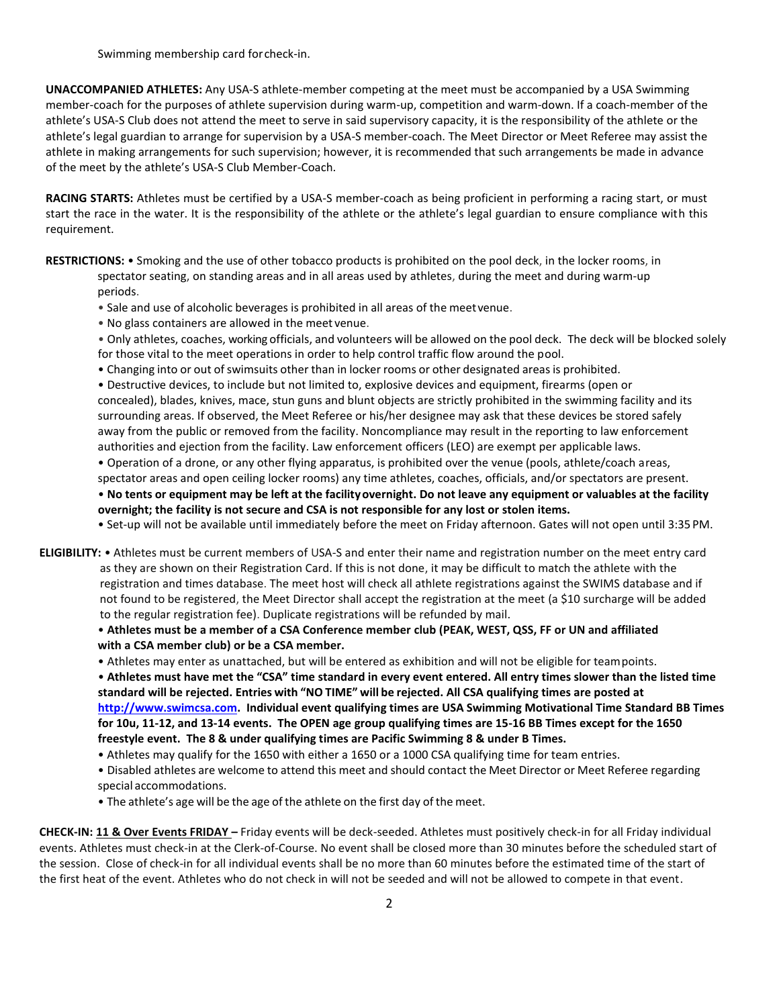Swimming membership card forcheck-in.

**UNACCOMPANIED ATHLETES:** Any USA-S athlete-member competing at the meet must be accompanied by a USA Swimming member-coach for the purposes of athlete supervision during warm-up, competition and warm-down. If a coach-member of the athlete's USA-S Club does not attend the meet to serve in said supervisory capacity, it is the responsibility of the athlete or the athlete's legal guardian to arrange for supervision by a USA-S member-coach. The Meet Director or Meet Referee may assist the athlete in making arrangements for such supervision; however, it is recommended that such arrangements be made in advance of the meet by the athlete's USA-S Club Member-Coach.

**RACING STARTS:** Athletes must be certified by a USA-S member-coach as being proficient in performing a racing start, or must start the race in the water. It is the responsibility of the athlete or the athlete's legal guardian to ensure compliance with this requirement.

**RESTRICTIONS:** • Smoking and the use of other tobacco products is prohibited on the pool deck, in the locker rooms, in spectator seating, on standing areas and in all areas used by athletes, during the meet and during warm-up

periods.

• Sale and use of alcoholic beverages is prohibited in all areas of the meetvenue.

• No glass containers are allowed in the meet venue.

• Only athletes, coaches, working officials, and volunteers will be allowed on the pool deck. The deck will be blocked solely for those vital to the meet operations in order to help control traffic flow around the pool.

• Changing into or out of swimsuits other than in locker rooms or other designated areas is prohibited.

• Destructive devices, to include but not limited to, explosive devices and equipment, firearms (open or concealed), blades, knives, mace, stun guns and blunt objects are strictly prohibited in the swimming facility and its surrounding areas. If observed, the Meet Referee or his/her designee may ask that these devices be stored safely away from the public or removed from the facility. Noncompliance may result in the reporting to law enforcement authorities and ejection from the facility. Law enforcement officers (LEO) are exempt per applicable laws.

• Operation of a drone, or any other flying apparatus, is prohibited over the venue (pools, athlete/coach areas,

spectator areas and open ceiling locker rooms) any time athletes, coaches, officials, and/or spectators are present. • **No tents or equipment may be left at the facilityovernight. Do not leave any equipment or valuables at the facility overnight; the facility is not secure and CSA is not responsible for any lost or stolen items.**

• Set-up will not be available until immediately before the meet on Friday afternoon. Gates will not open until 3:35 PM.

**ELIGIBILITY:** • Athletes must be current members of USA-S and enter their name and registration number on the meet entry card as they are shown on their Registration Card. If this is not done, it may be difficult to match the athlete with the registration and times database. The meet host will check all athlete registrations against the SWIMS database and if not found to be registered, the Meet Director shall accept the registration at the meet (a \$10 surcharge will be added to the regular registration fee). Duplicate registrations will be refunded by mail.

• **Athletes must be a member of a CSA Conference member club (PEAK, WEST, QSS, FF or UN and affiliated with a CSA member club) or be a CSA member.** 

• Athletes may enter as unattached, but will be entered as exhibition and will not be eligible for teampoints.

• **Athletes must have met the "CSA" time standard in every event entered. All entry times slower than the listed time standard will be rejected. Entries with "NO TIME" will be rejected. All CSA qualifying times are posted at [http://www.swimcsa.com.](http://www.swimcsa.com/) Individual event qualifying times are USA Swimming Motivational Time Standard BB Times for 10u, 11-12, and 13-14 events. The OPEN age group qualifying times are 15-16 BB Times except for the 1650 freestyle event. The 8 & under qualifying times are Pacific Swimming 8 & under B Times.** 

• Athletes may qualify for the 1650 with either a 1650 or a 1000 CSA qualifying time for team entries.

• Disabled athletes are welcome to attend this meet and should contact the Meet Director or Meet Referee regarding special accommodations.

• The athlete's age will be the age of the athlete on the first day of the meet.

**CHECK-IN: 11 & Over Events FRIDAY –** Friday events will be deck-seeded. Athletes must positively check-in for all Friday individual events. Athletes must check-in at the Clerk-of-Course. No event shall be closed more than 30 minutes before the scheduled start of the session. Close of check-in for all individual events shall be no more than 60 minutes before the estimated time of the start of the first heat of the event. Athletes who do not check in will not be seeded and will not be allowed to compete in that event.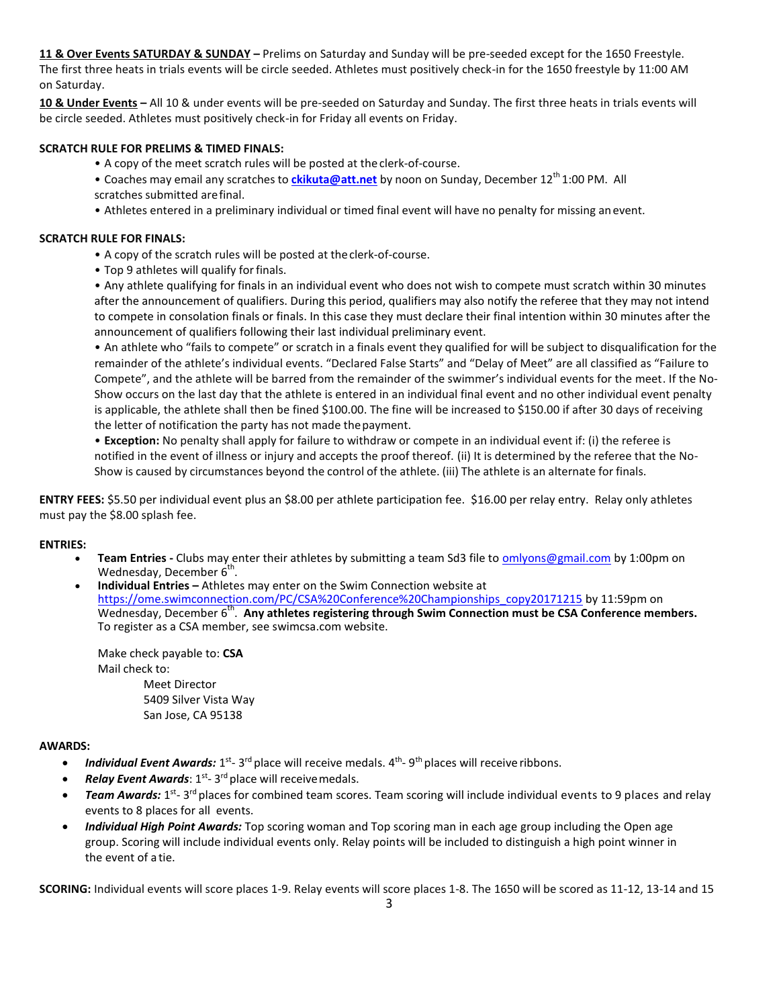**11 & Over Events SATURDAY & SUNDAY –** Prelims on Saturday and Sunday will be pre-seeded except for the 1650 Freestyle. The first three heats in trials events will be circle seeded. Athletes must positively check-in for the 1650 freestyle by 11:00 AM on Saturday.

**10 & Under Events –** All 10 & under events will be pre-seeded on Saturday and Sunday. The first three heats in trials events will be circle seeded. Athletes must positively check-in for Friday all events on Friday.

## **SCRATCH RULE FOR PRELIMS & TIMED FINALS:**

• A copy of the meet scratch rules will be posted at the clerk-of-course.

- Coaches may email any scratches to *[ckikuta@att.net](mailto:ckikuta@att.net)* by noon on Sunday, December 12<sup>th</sup> 1:00 PM. All scratches submitted arefinal.
- Athletes entered in a preliminary individual or timed final event will have no penalty for missing anevent.

#### **SCRATCH RULE FOR FINALS:**

- A copy of the scratch rules will be posted at theclerk-of-course.
- Top 9 athletes will qualify forfinals.

• Any athlete qualifying for finals in an individual event who does not wish to compete must scratch within 30 minutes after the announcement of qualifiers. During this period, qualifiers may also notify the referee that they may not intend to compete in consolation finals or finals. In this case they must declare their final intention within 30 minutes after the announcement of qualifiers following their last individual preliminary event.

• An athlete who "fails to compete" or scratch in a finals event they qualified for will be subject to disqualification for the remainder of the athlete's individual events. "Declared False Starts" and "Delay of Meet" are all classified as "Failure to Compete", and the athlete will be barred from the remainder of the swimmer's individual events for the meet. If the No-Show occurs on the last day that the athlete is entered in an individual final event and no other individual event penalty is applicable, the athlete shall then be fined \$100.00. The fine will be increased to \$150.00 if after 30 days of receiving the letter of notification the party has not made thepayment.

• **Exception:** No penalty shall apply for failure to withdraw or compete in an individual event if: (i) the referee is notified in the event of illness or injury and accepts the proof thereof. (ii) It is determined by the referee that the No-Show is caused by circumstances beyond the control of the athlete. (iii) The athlete is an alternate for finals.

**ENTRY FEES:** \$5.50 per individual event plus an \$8.00 per athlete participation fee. \$16.00 per relay entry. Relay only athletes must pay the \$8.00 splash fee.

#### **ENTRIES:**

Team Entries - Clubs may enter their athletes by submitting a team Sd3 file to **omlyons@gmail.com** by 1:00pm on Wednesday, December 6<sup>th</sup>.

 **Individual Entries –** Athletes may enter on the Swim Connection website at [https://ome.swimconnection.com/PC/CSA%20Conference%20Championships\\_copy20171215](https://ome.swimconnection.com/PC/CSA%20Conference%20Championships_copy20171215) by 11:59pm on Wednesday, December 6<sup>th</sup>. Any athletes registering through Swim Connection must be CSA Conference members. To register as a CSA member, see swimcsa.com website.

Make check payable to: **CSA**  Mail check to: Meet Director 5409 Silver Vista Way San Jose, CA 95138

#### **AWARDS:**

- Individual Event Awards: 1<sup>st</sup>- 3<sup>rd</sup> place will receive medals. 4<sup>th</sup>- 9<sup>th</sup> places will receive ribbons.
- Relay Event Awards: 1<sup>st</sup>-3<sup>rd</sup> place will receive medals.
- Team Awards: 1<sup>st</sup>- 3<sup>rd</sup> places for combined team scores. Team scoring will include individual events to 9 places and relay events to 8 places for all events.
- *Individual High Point Awards:* Top scoring woman and Top scoring man in each age group including the Open age group. Scoring will include individual events only. Relay points will be included to distinguish a high point winner in the event of a tie.

**SCORING:** Individual events will score places 1-9. Relay events will score places 1-8. The 1650 will be scored as 11-12, 13-14 and 15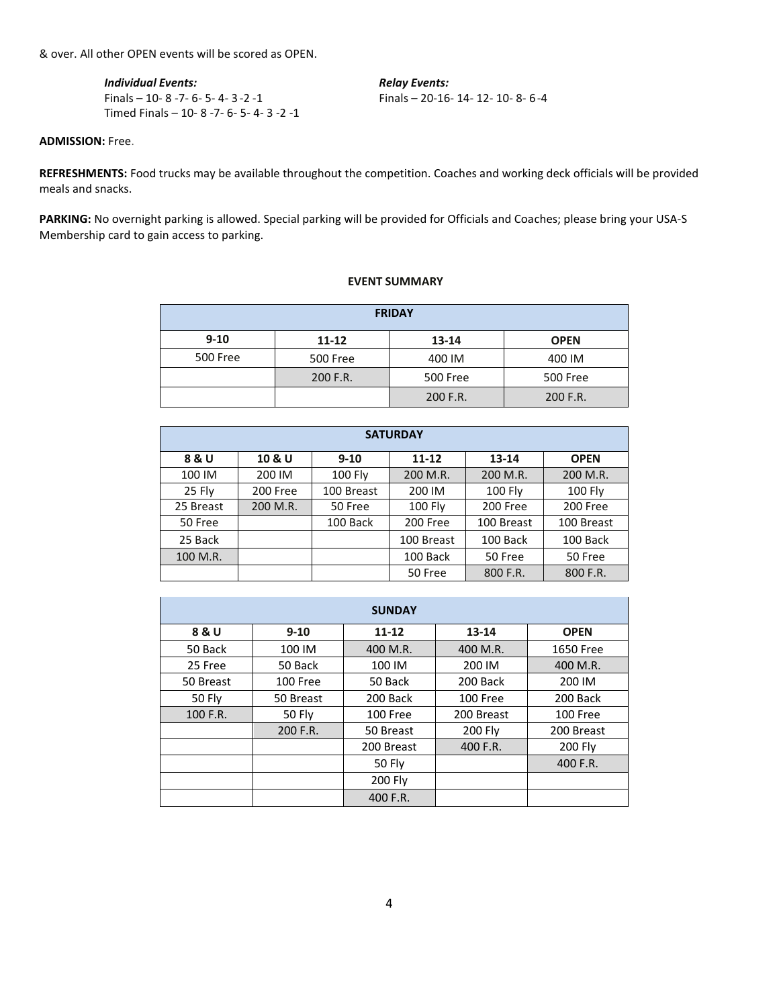& over. All other OPEN events will be scored as OPEN.

*Individual Events: Relay Events:* Finals – 10- 8 -7- 6- 5- 4- 3 -2 -1 Finals – 20-16- 14- 12- 10- 8- 6-4 Timed Finals – 10- 8 -7- 6- 5- 4- 3 -2 -1

**ADMISSION:** Free.

**REFRESHMENTS:** Food trucks may be available throughout the competition. Coaches and working deck officials will be provided meals and snacks.

**PARKING:** No overnight parking is allowed. Special parking will be provided for Officials and Coaches; please bring your USA-S Membership card to gain access to parking.

## **EVENT SUMMARY**

| <b>FRIDAY</b> |                      |          |             |  |  |
|---------------|----------------------|----------|-------------|--|--|
| $9 - 10$      | 11-12                | 13-14    | <b>OPEN</b> |  |  |
| 500 Free      | <b>500 Free</b>      | 400 IM   | 400 IM      |  |  |
|               | 200 F.R.<br>500 Free |          | 500 Free    |  |  |
|               |                      | 200 F.R. | 200 F.R.    |  |  |

| <b>SATURDAY</b> |          |                |                |            |             |  |  |
|-----------------|----------|----------------|----------------|------------|-------------|--|--|
| 8 & U           | 10 & U   | $9 - 10$       | $11 - 12$      | $13 - 14$  | <b>OPEN</b> |  |  |
| 100 IM          | 200 IM   | <b>100 Fly</b> | 200 M.R.       | 200 M.R.   | 200 M.R.    |  |  |
| 25 Fly          | 200 Free | 100 Breast     | 200 IM         | 100 Fly    | 100 Fly     |  |  |
| 25 Breast       | 200 M.R. | 50 Free        | <b>100 Fly</b> | 200 Free   | 200 Free    |  |  |
| 50 Free         |          | 100 Back       | 200 Free       | 100 Breast | 100 Breast  |  |  |
| 25 Back         |          |                | 100 Breast     | 100 Back   | 100 Back    |  |  |
| 100 M.R.        |          |                | 100 Back       | 50 Free    | 50 Free     |  |  |
|                 |          |                | 50 Free        | 800 F.R.   | 800 F.R.    |  |  |

| <b>SUNDAY</b> |               |            |                |                 |  |  |
|---------------|---------------|------------|----------------|-----------------|--|--|
| 8 & U         | $9 - 10$      | $11 - 12$  | 13-14          | <b>OPEN</b>     |  |  |
| 50 Back       | 100 IM        | 400 M.R.   | 400 M.R.       | 1650 Free       |  |  |
| 25 Free       | 50 Back       | 100 IM     | 200 IM         | 400 M.R.        |  |  |
| 50 Breast     | 100 Free      | 50 Back    | 200 Back       | 200 IM          |  |  |
| <b>50 Fly</b> | 50 Breast     | 200 Back   | 100 Free       | 200 Back        |  |  |
| 100 F.R.      | <b>50 Fly</b> | 100 Free   | 200 Breast     | <b>100 Free</b> |  |  |
|               | 200 F.R.      | 50 Breast  | <b>200 Fly</b> | 200 Breast      |  |  |
|               |               | 200 Breast | 400 F.R.       | 200 Fly         |  |  |
|               |               | 50 Fly     |                | 400 F.R.        |  |  |
|               |               | 200 Fly    |                |                 |  |  |
|               |               | 400 F.R.   |                |                 |  |  |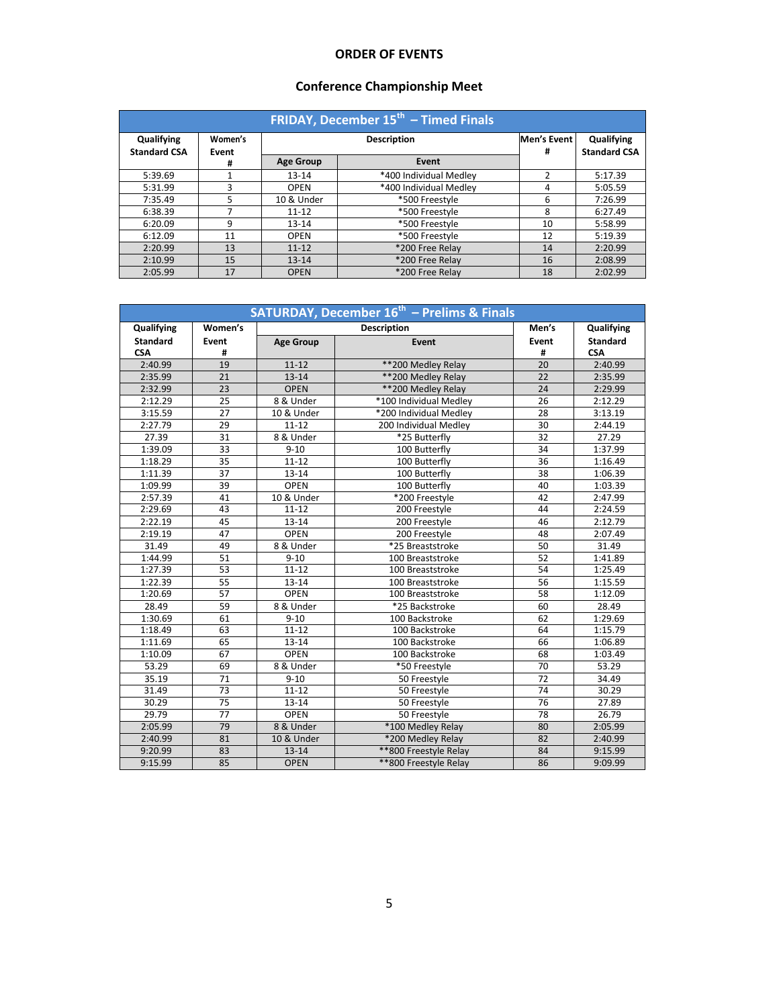# **ORDER OF EVENTS**

# **Conference Championship Meet**

| <b>FRIDAY, December <math>15th</math> – Timed Finals</b> |                  |                  |                        |                  |                                   |  |
|----------------------------------------------------------|------------------|------------------|------------------------|------------------|-----------------------------------|--|
| Qualifying<br><b>Standard CSA</b>                        | Women's<br>Event |                  | <b>Description</b>     | Men's Event<br># | Qualifying<br><b>Standard CSA</b> |  |
|                                                          | #                | <b>Age Group</b> | Event                  |                  |                                   |  |
| 5:39.69                                                  |                  | $13 - 14$        | *400 Individual Medley | 2                | 5:17.39                           |  |
| 5:31.99                                                  | 3                | <b>OPEN</b>      | *400 Individual Medley | 4                | 5:05.59                           |  |
| 7:35.49                                                  | 5                | 10 & Under       | *500 Freestyle         | 6                | 7:26.99                           |  |
| 6:38.39                                                  |                  | $11 - 12$        | *500 Freestyle         | 8                | 6:27.49                           |  |
| 6:20.09                                                  | 9                | $13 - 14$        | *500 Freestyle         | 10               | 5:58.99                           |  |
| 6:12.09                                                  | 11               | <b>OPEN</b>      | *500 Freestyle         | 12               | 5:19.39                           |  |
| 2:20.99                                                  | 13               | $11 - 12$        | *200 Free Relay        | 14               | 2:20.99                           |  |
| 2:10.99                                                  | 15               | $13 - 14$        | *200 Free Relay        | 16               | 2:08.99                           |  |
| 2:05.99                                                  | 17               | <b>OPEN</b>      | *200 Free Relav        | 18               | 2:02.99                           |  |

| <b>SATURDAY, December 16th - Prelims &amp; Finals</b> |         |                    |                        |       |                 |
|-------------------------------------------------------|---------|--------------------|------------------------|-------|-----------------|
| Qualifying                                            | Women's | <b>Description</b> |                        | Men's | Qualifying      |
| <b>Standard</b>                                       | Event   | <b>Age Group</b>   | Event                  | Event | <b>Standard</b> |
| <b>CSA</b>                                            | #       |                    |                        | #     | <b>CSA</b>      |
| 2:40.99                                               | 19      | $11 - 12$          | ** 200 Medley Relay    | 20    | 2:40.99         |
| 2:35.99                                               | 21      | $13 - 14$          | ** 200 Medley Relay    | 22    | 2:35.99         |
| 2:32.99                                               | 23      | <b>OPEN</b>        | ** 200 Medley Relay    | 24    | 2:29.99         |
| 2:12.29                                               | 25      | 8 & Under          | *100 Individual Medley | 26    | 2:12.29         |
| 3:15.59                                               | 27      | 10 & Under         | *200 Individual Medley | 28    | 3:13.19         |
| 2:27.79                                               | 29      | $11 - 12$          | 200 Individual Medley  | 30    | 2:44.19         |
| 27.39                                                 | 31      | 8 & Under          | *25 Butterfly          | 32    | 27.29           |
| 1:39.09                                               | 33      | $9 - 10$           | 100 Butterfly          | 34    | 1:37.99         |
| 1:18.29                                               | 35      | $11 - 12$          | 100 Butterfly          | 36    | 1:16.49         |
| 1:11.39                                               | 37      | $13 - 14$          | 100 Butterfly          | 38    | 1:06.39         |
| 1:09.99                                               | 39      | <b>OPEN</b>        | 100 Butterfly          | 40    | 1:03.39         |
| 2:57.39                                               | 41      | 10 & Under         | *200 Freestyle         | 42    | 2:47.99         |
| 2:29.69                                               | 43      | $11 - 12$          | 200 Freestyle          | 44    | 2:24.59         |
| 2:22.19                                               | 45      | $13 - 14$          | 200 Freestyle          | 46    | 2:12.79         |
| 2:19.19                                               | 47      | <b>OPEN</b>        | 200 Freestyle          | 48    | 2:07.49         |
| 31.49                                                 | 49      | 8 & Under          | *25 Breaststroke       | 50    | 31.49           |
| 1:44.99                                               | 51      | $9 - 10$           | 100 Breaststroke       | 52    | 1:41.89         |
| 1:27.39                                               | 53      | $11 - 12$          | 100 Breaststroke       | 54    | 1:25.49         |
| 1:22.39                                               | 55      | $13 - 14$          | 100 Breaststroke       | 56    | 1:15.59         |
| 1:20.69                                               | 57      | <b>OPEN</b>        | 100 Breaststroke       | 58    | 1:12.09         |
| 28.49                                                 | 59      | 8 & Under          | *25 Backstroke         | 60    | 28.49           |
| 1:30.69                                               | 61      | $9 - 10$           | 100 Backstroke         | 62    | 1:29.69         |
| 1:18.49                                               | 63      | $11 - 12$          | 100 Backstroke         | 64    | 1:15.79         |
| 1:11.69                                               | 65      | $13 - 14$          | 100 Backstroke         | 66    | 1:06.89         |
| 1:10.09                                               | 67      | <b>OPEN</b>        | 100 Backstroke         | 68    | 1:03.49         |
| 53.29                                                 | 69      | 8 & Under          | *50 Freestyle          | 70    | 53.29           |
| 35.19                                                 | 71      | $9 - 10$           | 50 Freestyle           | 72    | 34.49           |
| 31.49                                                 | 73      | $11 - 12$          | 50 Freestyle           | 74    | 30.29           |
| 30.29                                                 | 75      | 13-14              | 50 Freestyle           | 76    | 27.89           |
| 29.79                                                 | 77      | <b>OPEN</b>        | 50 Freestyle           | 78    | 26.79           |
| 2:05.99                                               | 79      | 8 & Under          | *100 Medley Relay      | 80    | 2:05.99         |
| 2:40.99                                               | 81      | 10 & Under         | *200 Medley Relay      | 82    | 2:40.99         |
| 9:20.99                                               | 83      | $13 - 14$          | ** 800 Freestyle Relay | 84    | 9:15.99         |
| 9:15.99                                               | 85      | <b>OPEN</b>        | ** 800 Freestyle Relay | 86    | 9:09.99         |